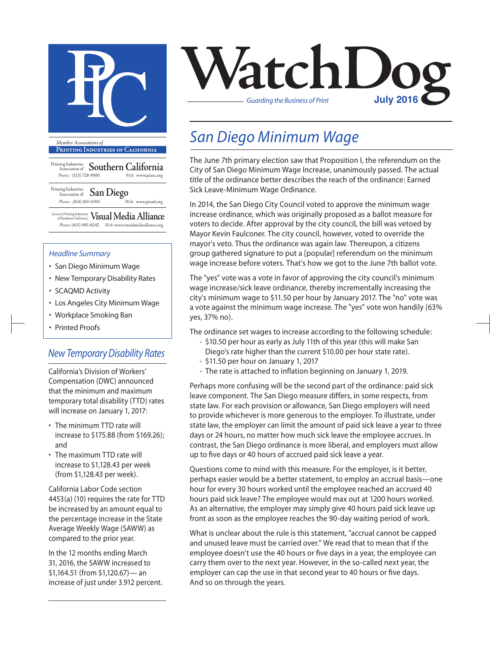

**Printing Industries of California**

Printing Industries Association of **Southern California** *Phone:* (323) 728-9500 *Web:* www.piasc.org

Printing Industries Association of **San Diego** *Phone: (858) 800-6900 Web:* www.piasd.org

(formerly Printing Industries of Northern California) **Visual Media Alliance** *Phone:* (415) 495-8242 *Web:* www.visualmediaalliance.org

#### *Headline Summary*

- San Diego Minimum Wage
- New Temporary Disability Rates
- SCAQMD Activity
- Los Angeles City Minimum Wage
- Workplace Smoking Ban
- Printed Proofs

### *New Temporary Disability Rates*

California's Division of Workers' Compensation (DWC) announced that the minimum and maximum temporary total disability (TTD) rates will increase on January 1, 2017:

- The minimum TTD rate will increase to \$175.88 (from \$169.26); and
- The maximum TTD rate will increase to \$1,128.43 per week (from \$1,128.43 per week).

California Labor Code section 4453(a) (10) requires the rate for TTD be increased by an amount equal to the percentage increase in the State Average Weekly Wage (SAWW) as compared to the prior year.

In the 12 months ending March 31, 2016, the SAWW increased to \$1,164.51 (from \$1,120.67)— an increase of just under 3.912 percent.



### *San Diego Minimum Wage*

The June 7th primary election saw that Proposition I, the referendum on the City of San Diego Minimum Wage Increase, unanimously passed. The actual title of the ordinance better describes the reach of the ordinance: Earned Sick Leave-Minimum Wage Ordinance.

In 2014, the San Diego City Council voted to approve the minimum wage increase ordinance, which was originally proposed as a ballot measure for voters to decide. After approval by the city council, the bill was vetoed by Mayor Kevin Faulconer. The city council, however, voted to override the mayor's veto. Thus the ordinance was again law. Thereupon, a citizens group gathered signature to put a [popular] referendum on the minimum wage increase before voters. That's how we got to the June 7th ballot vote.

The "yes" vote was a vote in favor of approving the city council's minimum wage increase/sick leave ordinance, thereby incrementally increasing the city's minimum wage to \$11.50 per hour by January 2017. The "no" vote was a vote against the minimum wage increase. The "yes" vote won handily (63% yes, 37% no).

The ordinance set wages to increase according to the following schedule:

- \$10.50 per hour as early as July 11th of this year (this will make San Diego's rate higher than the current \$10.00 per hour state rate).
- \$11.50 per hour on January 1, 2017
- The rate is attached to inflation beginning on January 1, 2019.

Perhaps more confusing will be the second part of the ordinance: paid sick leave component. The San Diego measure differs, in some respects, from state law. For each provision or allowance, San Diego employers will need to provide whichever is more generous to the employer. To illustrate, under state law, the employer can limit the amount of paid sick leave a year to three days or 24 hours, no matter how much sick leave the employee accrues. In contrast, the San Diego ordinance is more liberal, and employers must allow up to five days or 40 hours of accrued paid sick leave a year.

Questions come to mind with this measure. For the employer, is it better, perhaps easier would be a better statement, to employ an accrual basis—one hour for every 30 hours worked until the employee reached an accrued 40 hours paid sick leave? The employee would max out at 1200 hours worked. As an alternative, the employer may simply give 40 hours paid sick leave up front as soon as the employee reaches the 90-day waiting period of work.

What is unclear about the rule is this statement, "accrual cannot be capped and unused leave must be carried over." We read that to mean that if the employee doesn't use the 40 hours or five days in a year, the employee can carry them over to the next year. However, in the so-called next year, the employer can cap the use in that second year to 40 hours or five days. And so on through the years.